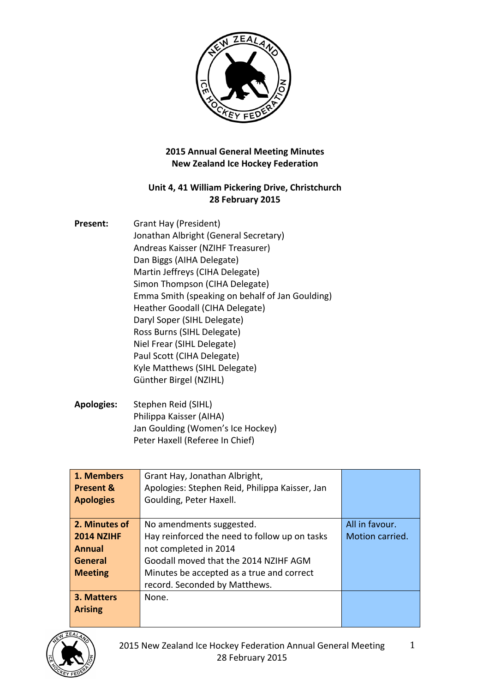

## **2015 Annual General Meeting Minutes New Zealand Ice Hockey Federation**

## Unit 4, 41 William Pickering Drive, Christchurch **28 February 2015**

| Present: | Grant Hay (President)                           |
|----------|-------------------------------------------------|
|          | Jonathan Albright (General Secretary)           |
|          | Andreas Kaisser (NZIHF Treasurer)               |
|          | Dan Biggs (AIHA Delegate)                       |
|          | Martin Jeffreys (CIHA Delegate)                 |
|          | Simon Thompson (CIHA Delegate)                  |
|          | Emma Smith (speaking on behalf of Jan Goulding) |
|          | Heather Goodall (CIHA Delegate)                 |
|          | Daryl Soper (SIHL Delegate)                     |
|          | Ross Burns (SIHL Delegate)                      |
|          | Niel Frear (SIHL Delegate)                      |
|          | Paul Scott (CIHA Delegate)                      |
|          | Kyle Matthews (SIHL Delegate)                   |
|          | Günther Birgel (NZIHL)                          |
|          |                                                 |

Apologies: Stephen Reid (SIHL) Philippa Kaisser (AIHA) Jan Goulding (Women's Ice Hockey) Peter Haxell (Referee In Chief)

| 1. Members           | Grant Hay, Jonathan Albright,                  |                 |
|----------------------|------------------------------------------------|-----------------|
| <b>Present &amp;</b> | Apologies: Stephen Reid, Philippa Kaisser, Jan |                 |
| <b>Apologies</b>     | Goulding, Peter Haxell.                        |                 |
|                      |                                                |                 |
| 2. Minutes of        | No amendments suggested.                       | All in favour.  |
| <b>2014 NZIHF</b>    | Hay reinforced the need to follow up on tasks  | Motion carried. |
| <b>Annual</b>        | not completed in 2014                          |                 |
| <b>General</b>       | Goodall moved that the 2014 NZIHF AGM          |                 |
| <b>Meeting</b>       | Minutes be accepted as a true and correct      |                 |
|                      | record. Seconded by Matthews.                  |                 |
| 3. Matters           | None.                                          |                 |
| <b>Arising</b>       |                                                |                 |
|                      |                                                |                 |

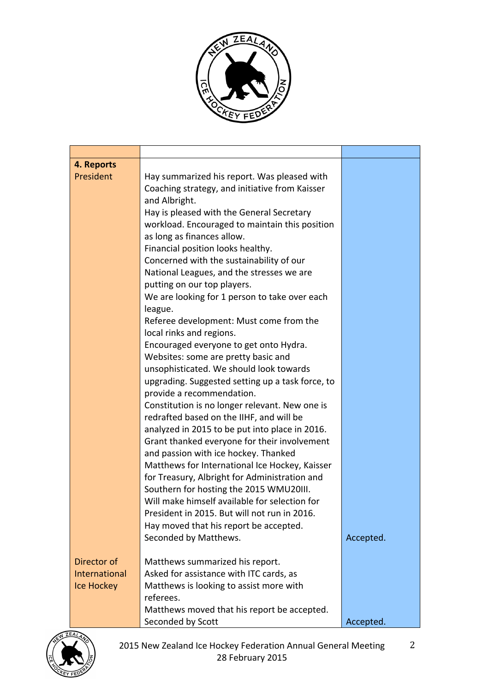

| 4. Reports    |                                                  |           |
|---------------|--------------------------------------------------|-----------|
| President     | Hay summarized his report. Was pleased with      |           |
|               | Coaching strategy, and initiative from Kaisser   |           |
|               | and Albright.                                    |           |
|               | Hay is pleased with the General Secretary        |           |
|               | workload. Encouraged to maintain this position   |           |
|               | as long as finances allow.                       |           |
|               | Financial position looks healthy.                |           |
|               | Concerned with the sustainability of our         |           |
|               | National Leagues, and the stresses we are        |           |
|               | putting on our top players.                      |           |
|               | We are looking for 1 person to take over each    |           |
|               | league.                                          |           |
|               | Referee development: Must come from the          |           |
|               | local rinks and regions.                         |           |
|               | Encouraged everyone to get onto Hydra.           |           |
|               | Websites: some are pretty basic and              |           |
|               | unsophisticated. We should look towards          |           |
|               | upgrading. Suggested setting up a task force, to |           |
|               | provide a recommendation.                        |           |
|               | Constitution is no longer relevant. New one is   |           |
|               | redrafted based on the IIHF, and will be         |           |
|               | analyzed in 2015 to be put into place in 2016.   |           |
|               | Grant thanked everyone for their involvement     |           |
|               | and passion with ice hockey. Thanked             |           |
|               | Matthews for International Ice Hockey, Kaisser   |           |
|               | for Treasury, Albright for Administration and    |           |
|               | Southern for hosting the 2015 WMU20III.          |           |
|               | Will make himself available for selection for    |           |
|               | President in 2015. But will not run in 2016.     |           |
|               | Hay moved that his report be accepted.           |           |
|               | Seconded by Matthews.                            | Accepted. |
| Director of   | Matthews summarized his report.                  |           |
| International | Asked for assistance with ITC cards, as          |           |
| Ice Hockey    | Matthews is looking to assist more with          |           |
|               | referees.                                        |           |
|               | Matthews moved that his report be accepted.      |           |
|               | Seconded by Scott                                | Accepted. |

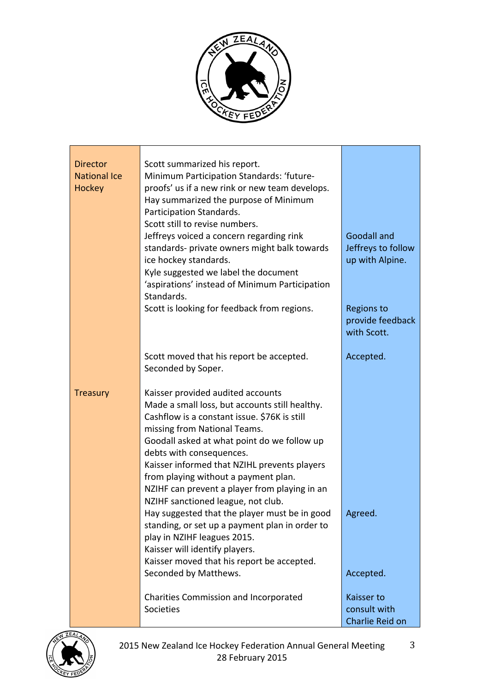

| <b>Director</b><br><b>National Ice</b><br>Hockey | Scott summarized his report.<br>Minimum Participation Standards: 'future-<br>proofs' us if a new rink or new team develops.<br>Hay summarized the purpose of Minimum<br>Participation Standards.<br>Scott still to revise numbers.<br>Jeffreys voiced a concern regarding rink<br>standards- private owners might balk towards<br>ice hockey standards.<br>Kyle suggested we label the document<br>'aspirations' instead of Minimum Participation<br>Standards.<br>Scott is looking for feedback from regions.                                                                                                                                                           | <b>Goodall and</b><br>Jeffreys to follow<br>up with Alpine.<br><b>Regions to</b><br>provide feedback<br>with Scott. |
|--------------------------------------------------|--------------------------------------------------------------------------------------------------------------------------------------------------------------------------------------------------------------------------------------------------------------------------------------------------------------------------------------------------------------------------------------------------------------------------------------------------------------------------------------------------------------------------------------------------------------------------------------------------------------------------------------------------------------------------|---------------------------------------------------------------------------------------------------------------------|
|                                                  | Scott moved that his report be accepted.<br>Seconded by Soper.                                                                                                                                                                                                                                                                                                                                                                                                                                                                                                                                                                                                           | Accepted.                                                                                                           |
| <b>Treasury</b>                                  | Kaisser provided audited accounts<br>Made a small loss, but accounts still healthy.<br>Cashflow is a constant issue. \$76K is still<br>missing from National Teams.<br>Goodall asked at what point do we follow up<br>debts with consequences.<br>Kaisser informed that NZIHL prevents players<br>from playing without a payment plan.<br>NZIHF can prevent a player from playing in an<br>NZIHF sanctioned league, not club.<br>Hay suggested that the player must be in good<br>standing, or set up a payment plan in order to<br>play in NZIHF leagues 2015.<br>Kaisser will identify players.<br>Kaisser moved that his report be accepted.<br>Seconded by Matthews. | Agreed.<br>Accepted.                                                                                                |
|                                                  | Charities Commission and Incorporated<br>Societies                                                                                                                                                                                                                                                                                                                                                                                                                                                                                                                                                                                                                       | Kaisser to<br>consult with<br>Charlie Reid on                                                                       |

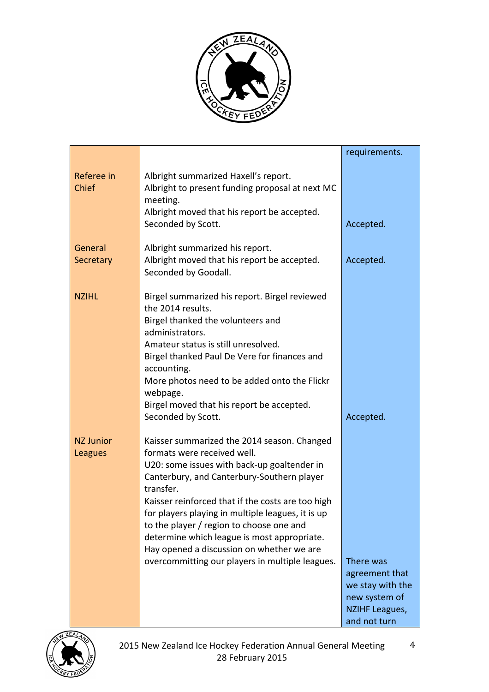

|                             |                                                                                                                                                                                                                                                                                                                                                                                                                                                                                                                 | requirements.                                                                                                          |
|-----------------------------|-----------------------------------------------------------------------------------------------------------------------------------------------------------------------------------------------------------------------------------------------------------------------------------------------------------------------------------------------------------------------------------------------------------------------------------------------------------------------------------------------------------------|------------------------------------------------------------------------------------------------------------------------|
| Referee in<br><b>Chief</b>  | Albright summarized Haxell's report.<br>Albright to present funding proposal at next MC<br>meeting.<br>Albright moved that his report be accepted.<br>Seconded by Scott.                                                                                                                                                                                                                                                                                                                                        | Accepted.                                                                                                              |
| General<br>Secretary        | Albright summarized his report.<br>Albright moved that his report be accepted.<br>Seconded by Goodall.                                                                                                                                                                                                                                                                                                                                                                                                          | Accepted.                                                                                                              |
| <b>NZIHL</b>                | Birgel summarized his report. Birgel reviewed<br>the 2014 results.<br>Birgel thanked the volunteers and<br>administrators.<br>Amateur status is still unresolved.<br>Birgel thanked Paul De Vere for finances and<br>accounting.<br>More photos need to be added onto the Flickr<br>webpage.<br>Birgel moved that his report be accepted.                                                                                                                                                                       |                                                                                                                        |
| <b>NZ Junior</b><br>Leagues | Seconded by Scott.<br>Kaisser summarized the 2014 season. Changed<br>formats were received well.<br>U20: some issues with back-up goaltender in<br>Canterbury, and Canterbury-Southern player<br>transfer.<br>Kaisser reinforced that if the costs are too high<br>for players playing in multiple leagues, it is up<br>to the player / region to choose one and<br>determine which league is most appropriate.<br>Hay opened a discussion on whether we are<br>overcommitting our players in multiple leagues. | Accepted.<br>There was<br>agreement that<br>we stay with the<br>new system of<br><b>NZIHF Leagues,</b><br>and not turn |



4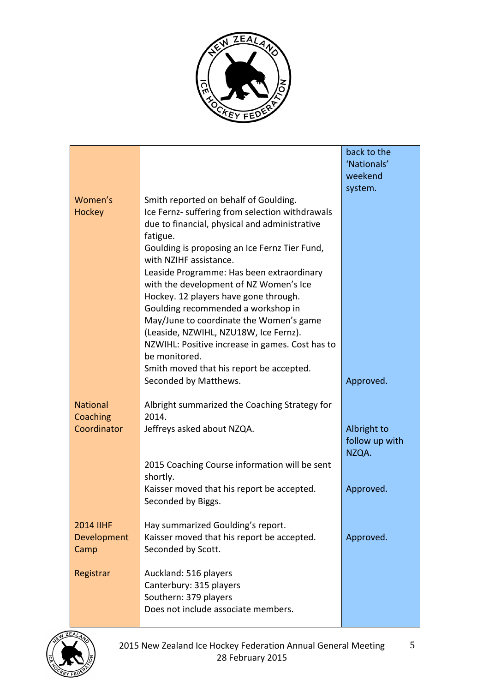

|                                         |                                                                                                                                                                                                                                                                                                                                                                                                                                                                                                                                                                                                                                     | back to the<br>'Nationals'<br>weekend<br>system. |
|-----------------------------------------|-------------------------------------------------------------------------------------------------------------------------------------------------------------------------------------------------------------------------------------------------------------------------------------------------------------------------------------------------------------------------------------------------------------------------------------------------------------------------------------------------------------------------------------------------------------------------------------------------------------------------------------|--------------------------------------------------|
| Women's<br>Hockey                       | Smith reported on behalf of Goulding.<br>Ice Fernz- suffering from selection withdrawals<br>due to financial, physical and administrative<br>fatigue.<br>Goulding is proposing an Ice Fernz Tier Fund,<br>with NZIHF assistance.<br>Leaside Programme: Has been extraordinary<br>with the development of NZ Women's Ice<br>Hockey. 12 players have gone through.<br>Goulding recommended a workshop in<br>May/June to coordinate the Women's game<br>(Leaside, NZWIHL, NZU18W, Ice Fernz).<br>NZWIHL: Positive increase in games. Cost has to<br>be monitored.<br>Smith moved that his report be accepted.<br>Seconded by Matthews. | Approved.                                        |
| <b>National</b><br>Coaching             | Albright summarized the Coaching Strategy for<br>2014.                                                                                                                                                                                                                                                                                                                                                                                                                                                                                                                                                                              |                                                  |
| Coordinator                             | Jeffreys asked about NZQA.                                                                                                                                                                                                                                                                                                                                                                                                                                                                                                                                                                                                          | Albright to<br>follow up with<br>NZQA.           |
|                                         | 2015 Coaching Course information will be sent<br>shortly.                                                                                                                                                                                                                                                                                                                                                                                                                                                                                                                                                                           |                                                  |
|                                         | Kaisser moved that his report be accepted.<br>Seconded by Biggs.                                                                                                                                                                                                                                                                                                                                                                                                                                                                                                                                                                    | Approved.                                        |
| <b>2014 IIHF</b><br>Development<br>Camp | Hay summarized Goulding's report.<br>Kaisser moved that his report be accepted.<br>Seconded by Scott.                                                                                                                                                                                                                                                                                                                                                                                                                                                                                                                               | Approved.                                        |
| Registrar                               | Auckland: 516 players<br>Canterbury: 315 players<br>Southern: 379 players<br>Does not include associate members.                                                                                                                                                                                                                                                                                                                                                                                                                                                                                                                    |                                                  |



5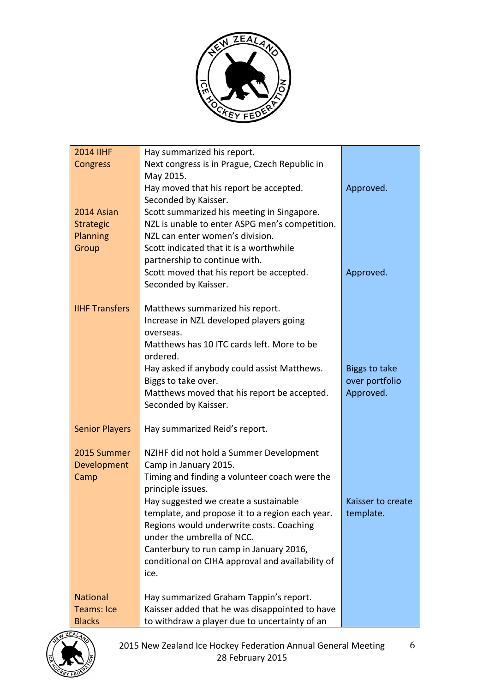

| <b>2014 IIHF</b>      | Hay summarized his report.                             |                      |
|-----------------------|--------------------------------------------------------|----------------------|
| <b>Congress</b>       | Next congress is in Prague, Czech Republic in          |                      |
|                       | May 2015.                                              |                      |
|                       | Hay moved that his report be accepted.                 | Approved.            |
|                       | Seconded by Kaisser.                                   |                      |
| 2014 Asian            | Scott summarized his meeting in Singapore.             |                      |
| <b>Strategic</b>      | NZL is unable to enter ASPG men's competition.         |                      |
| Planning              | NZL can enter women's division.                        |                      |
| Group                 | Scott indicated that it is a worthwhile                |                      |
|                       | partnership to continue with.                          |                      |
|                       | Scott moved that his report be accepted.               | Approved.            |
|                       | Seconded by Kaisser.                                   |                      |
| <b>IIHF Transfers</b> | Matthews summarized his report.                        |                      |
|                       | Increase in NZL developed players going                |                      |
|                       | overseas.                                              |                      |
|                       | Matthews has 10 ITC cards left. More to be<br>ordered. |                      |
|                       | Hay asked if anybody could assist Matthews.            | <b>Biggs to take</b> |
|                       | Biggs to take over.                                    | over portfolio       |
|                       | Matthews moved that his report be accepted.            | Approved.            |
|                       | Seconded by Kaisser.                                   |                      |
|                       |                                                        |                      |
| <b>Senior Players</b> | Hay summarized Reid's report.                          |                      |
| 2015 Summer           | NZIHF did not hold a Summer Development                |                      |
| Development           | Camp in January 2015.                                  |                      |
| Camp                  | Timing and finding a volunteer coach were the          |                      |
|                       | principle issues.                                      |                      |
|                       | Hay suggested we create a sustainable                  | Kaisser to create    |
|                       | template, and propose it to a region each year.        | template.            |
|                       | Regions would underwrite costs. Coaching               |                      |
|                       | under the umbrella of NCC.                             |                      |
|                       | Canterbury to run camp in January 2016,                |                      |
|                       | conditional on CIHA approval and availability of       |                      |
|                       | ice.                                                   |                      |
| <b>National</b>       | Hay summarized Graham Tappin's report.                 |                      |
| Teams: Ice            | Kaisser added that he was disappointed to have         |                      |
| <b>Blacks</b>         | to withdraw a player due to uncertainty of an          |                      |

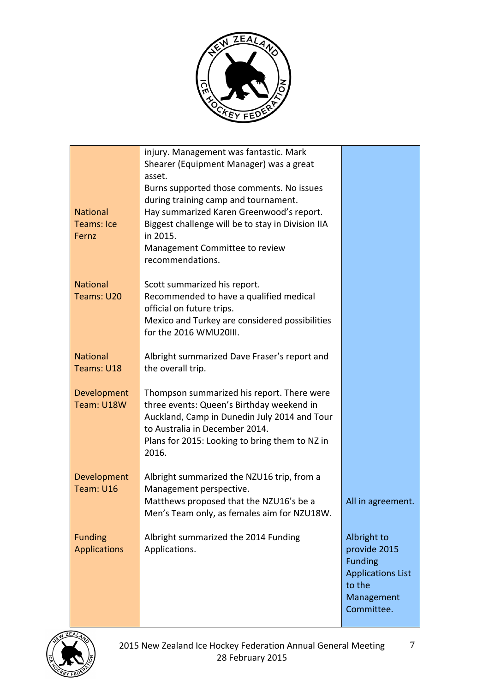

|                     | injury. Management was fantastic. Mark                                         |                          |
|---------------------|--------------------------------------------------------------------------------|--------------------------|
|                     | Shearer (Equipment Manager) was a great                                        |                          |
|                     | asset.                                                                         |                          |
|                     | Burns supported those comments. No issues                                      |                          |
|                     | during training camp and tournament.                                           |                          |
| <b>National</b>     | Hay summarized Karen Greenwood's report.                                       |                          |
| <b>Teams: Ice</b>   | Biggest challenge will be to stay in Division IIA                              |                          |
| Fernz               | in 2015.                                                                       |                          |
|                     | Management Committee to review                                                 |                          |
|                     | recommendations.                                                               |                          |
| <b>National</b>     | Scott summarized his report.                                                   |                          |
| Teams: U20          | Recommended to have a qualified medical                                        |                          |
|                     | official on future trips.                                                      |                          |
|                     | Mexico and Turkey are considered possibilities<br>for the 2016 WMU20III.       |                          |
|                     |                                                                                |                          |
| <b>National</b>     | Albright summarized Dave Fraser's report and                                   |                          |
| Teams: U18          | the overall trip.                                                              |                          |
|                     |                                                                                |                          |
| Development         | Thompson summarized his report. There were                                     |                          |
| Team: U18W          | three events: Queen's Birthday weekend in                                      |                          |
|                     | Auckland, Camp in Dunedin July 2014 and Tour<br>to Australia in December 2014. |                          |
|                     | Plans for 2015: Looking to bring them to NZ in                                 |                          |
|                     | 2016.                                                                          |                          |
|                     |                                                                                |                          |
| Development         | Albright summarized the NZU16 trip, from a                                     |                          |
| Team: U16           | Management perspective.                                                        |                          |
|                     | Matthews proposed that the NZU16's be a                                        | All in agreement.        |
|                     | Men's Team only, as females aim for NZU18W.                                    |                          |
| <b>Funding</b>      | Albright summarized the 2014 Funding                                           | Albright to              |
| <b>Applications</b> | Applications.                                                                  | provide 2015             |
|                     |                                                                                | <b>Funding</b>           |
|                     |                                                                                | <b>Applications List</b> |
|                     |                                                                                | to the                   |
|                     |                                                                                | Management               |
|                     |                                                                                | Committee.               |

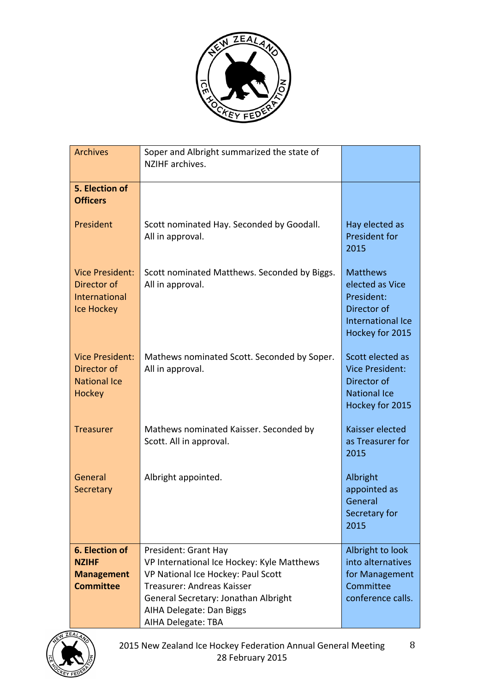

| <b>Archives</b>                                                             | Soper and Albright summarized the state of<br>NZIHF archives.                                                                                                                                                                    |                                                                                                         |
|-----------------------------------------------------------------------------|----------------------------------------------------------------------------------------------------------------------------------------------------------------------------------------------------------------------------------|---------------------------------------------------------------------------------------------------------|
| 5. Election of<br><b>Officers</b>                                           |                                                                                                                                                                                                                                  |                                                                                                         |
| President                                                                   | Scott nominated Hay. Seconded by Goodall.<br>All in approval.                                                                                                                                                                    | Hay elected as<br><b>President for</b><br>2015                                                          |
| <b>Vice President:</b><br>Director of<br>International<br><b>Ice Hockey</b> | Scott nominated Matthews. Seconded by Biggs.<br>All in approval.                                                                                                                                                                 | <b>Matthews</b><br>elected as Vice<br>President:<br>Director of<br>International Ice<br>Hockey for 2015 |
| <b>Vice President:</b><br>Director of<br><b>National Ice</b><br>Hockey      | Mathews nominated Scott. Seconded by Soper.<br>All in approval.                                                                                                                                                                  | Scott elected as<br><b>Vice President:</b><br>Director of<br><b>National Ice</b><br>Hockey for 2015     |
| <b>Treasurer</b>                                                            | Mathews nominated Kaisser. Seconded by<br>Scott. All in approval.                                                                                                                                                                | Kaisser elected<br>as Treasurer for<br>2015                                                             |
| General<br>Secretary                                                        | Albright appointed.                                                                                                                                                                                                              | Albright<br>appointed as<br>General<br>Secretary for<br>2015                                            |
| 6. Election of<br><b>NZIHF</b><br><b>Management</b><br><b>Committee</b>     | President: Grant Hay<br>VP International Ice Hockey: Kyle Matthews<br>VP National Ice Hockey: Paul Scott<br>Treasurer: Andreas Kaisser<br>General Secretary: Jonathan Albright<br>AIHA Delegate: Dan Biggs<br>AIHA Delegate: TBA | Albright to look<br>into alternatives<br>for Management<br>Committee<br>conference calls.               |

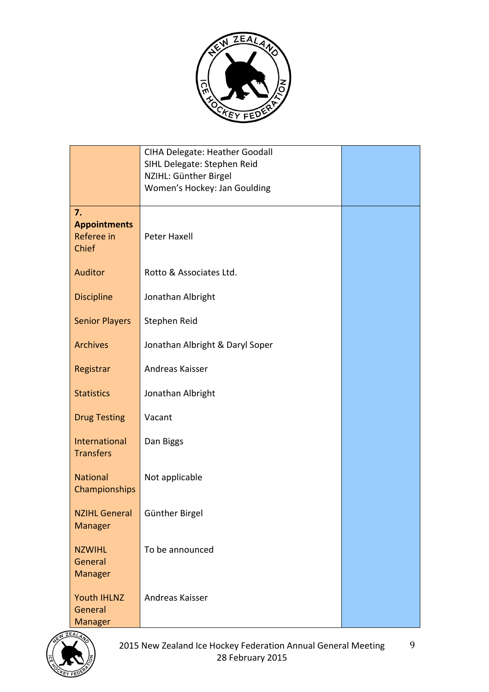

|                                                  | <b>CIHA Delegate: Heather Goodall</b><br>SIHL Delegate: Stephen Reid<br>NZIHL: Günther Birgel<br>Women's Hockey: Jan Goulding |  |
|--------------------------------------------------|-------------------------------------------------------------------------------------------------------------------------------|--|
| 7.<br><b>Appointments</b><br>Referee in<br>Chief | Peter Haxell                                                                                                                  |  |
| Auditor                                          | Rotto & Associates Ltd.                                                                                                       |  |
| <b>Discipline</b>                                | Jonathan Albright                                                                                                             |  |
| <b>Senior Players</b>                            | Stephen Reid                                                                                                                  |  |
| <b>Archives</b>                                  | Jonathan Albright & Daryl Soper                                                                                               |  |
| Registrar                                        | Andreas Kaisser                                                                                                               |  |
| <b>Statistics</b>                                | Jonathan Albright                                                                                                             |  |
| <b>Drug Testing</b>                              | Vacant                                                                                                                        |  |
| International<br><b>Transfers</b>                | Dan Biggs                                                                                                                     |  |
| <b>National</b><br>Championships                 | Not applicable                                                                                                                |  |
| NZIHL General   Günther Birgel<br>Manager        |                                                                                                                               |  |
| <b>NZWIHL</b><br>General<br>Manager              | To be announced                                                                                                               |  |
| Youth IHLNZ<br>General<br>Manager                | Andreas Kaisser                                                                                                               |  |

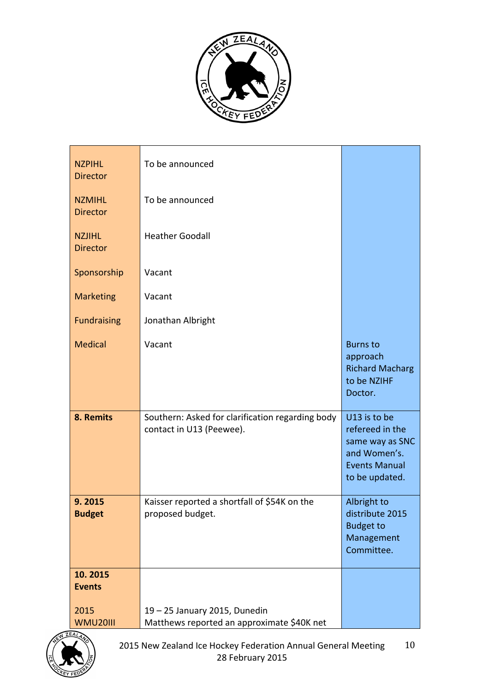

| <b>NZPIHL</b><br><b>Director</b> | To be announced                                                              |                                                                                                              |
|----------------------------------|------------------------------------------------------------------------------|--------------------------------------------------------------------------------------------------------------|
| <b>NZMIHL</b><br><b>Director</b> | To be announced                                                              |                                                                                                              |
| <b>NZJIHL</b><br><b>Director</b> | <b>Heather Goodall</b>                                                       |                                                                                                              |
| Sponsorship                      | Vacant                                                                       |                                                                                                              |
| <b>Marketing</b>                 | Vacant                                                                       |                                                                                                              |
| <b>Fundraising</b>               | Jonathan Albright                                                            |                                                                                                              |
| <b>Medical</b>                   | Vacant                                                                       | <b>Burns to</b><br>approach<br><b>Richard Macharg</b><br>to be NZIHF<br>Doctor.                              |
| 8. Remits                        | Southern: Asked for clarification regarding body<br>contact in U13 (Peewee). | U13 is to be<br>refereed in the<br>same way as SNC<br>and Women's.<br><b>Events Manual</b><br>to be updated. |
| 9.2015<br><b>Budget</b>          | Kaisser reported a shortfall of \$54K on the<br>proposed budget.             | Albright to<br>distribute 2015<br><b>Budget to</b><br>Management<br>Committee.                               |
| 10.2015<br><b>Events</b>         |                                                                              |                                                                                                              |
| 2015<br><b>WMU20III</b>          | 19 - 25 January 2015, Dunedin<br>Matthews reported an approximate \$40K net  |                                                                                                              |

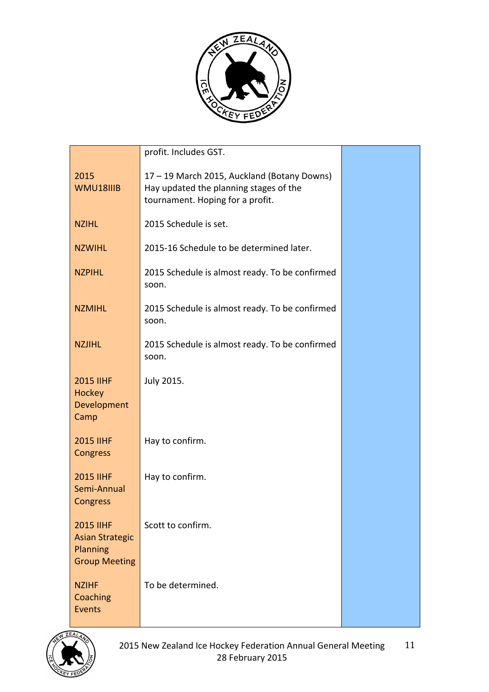

|                                                                                | profit. Includes GST.                                                                                                     |  |
|--------------------------------------------------------------------------------|---------------------------------------------------------------------------------------------------------------------------|--|
| 2015<br>WMU18IIIB                                                              | 17 - 19 March 2015, Auckland (Botany Downs)<br>Hay updated the planning stages of the<br>tournament. Hoping for a profit. |  |
| <b>NZIHL</b>                                                                   | 2015 Schedule is set.                                                                                                     |  |
| <b>NZWIHL</b>                                                                  | 2015-16 Schedule to be determined later.                                                                                  |  |
| <b>NZPIHL</b>                                                                  | 2015 Schedule is almost ready. To be confirmed<br>soon.                                                                   |  |
| <b>NZMIHL</b>                                                                  | 2015 Schedule is almost ready. To be confirmed<br>soon.                                                                   |  |
| <b>NZJIHL</b>                                                                  | 2015 Schedule is almost ready. To be confirmed<br>soon.                                                                   |  |
| <b>2015 IIHF</b><br>Hockey<br>Development<br>Camp                              | July 2015.                                                                                                                |  |
| <b>2015 IIHF</b><br>Congress                                                   | Hay to confirm.                                                                                                           |  |
| <b>2015 IIHF</b><br>Semi-Annual<br>Congress                                    | Hay to confirm.                                                                                                           |  |
| <b>2015 IIHF</b><br><b>Asian Strategic</b><br>Planning<br><b>Group Meeting</b> | Scott to confirm.                                                                                                         |  |
| <b>NZIHF</b><br>Coaching<br>Events                                             | To be determined.                                                                                                         |  |

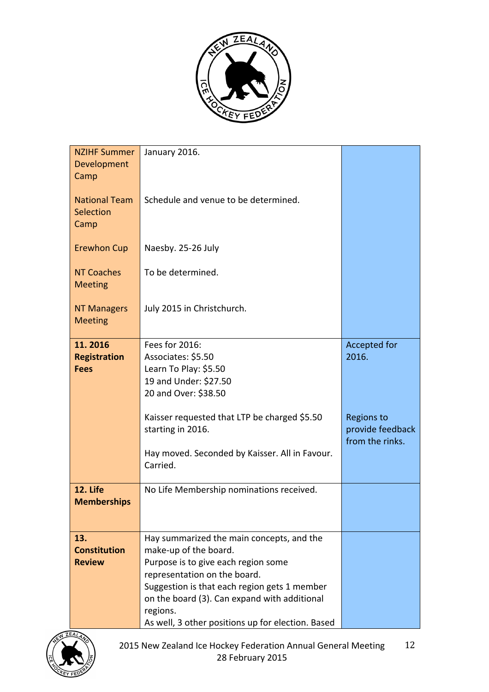

| <b>NZIHF Summer</b><br>Development            | January 2016.                                                                                                                                                                                                                                                                                              |                                                          |
|-----------------------------------------------|------------------------------------------------------------------------------------------------------------------------------------------------------------------------------------------------------------------------------------------------------------------------------------------------------------|----------------------------------------------------------|
| Camp                                          |                                                                                                                                                                                                                                                                                                            |                                                          |
| <b>National Team</b><br>Selection<br>Camp     | Schedule and venue to be determined.                                                                                                                                                                                                                                                                       |                                                          |
| <b>Erewhon Cup</b>                            | Naesby. 25-26 July                                                                                                                                                                                                                                                                                         |                                                          |
| <b>NT Coaches</b><br><b>Meeting</b>           | To be determined.                                                                                                                                                                                                                                                                                          |                                                          |
| <b>NT Managers</b><br><b>Meeting</b>          | July 2015 in Christchurch.                                                                                                                                                                                                                                                                                 |                                                          |
| 11.2016<br><b>Registration</b><br><b>Fees</b> | Fees for 2016:<br>Associates: \$5.50<br>Learn To Play: \$5.50<br>19 and Under: \$27.50<br>20 and Over: \$38.50                                                                                                                                                                                             | Accepted for<br>2016.                                    |
|                                               | Kaisser requested that LTP be charged \$5.50<br>starting in 2016.<br>Hay moved. Seconded by Kaisser. All in Favour.<br>Carried.                                                                                                                                                                            | <b>Regions to</b><br>provide feedback<br>from the rinks. |
| 12. Life<br><b>Memberships</b>                | No Life Membership nominations received.                                                                                                                                                                                                                                                                   |                                                          |
| 13.<br><b>Constitution</b><br><b>Review</b>   | Hay summarized the main concepts, and the<br>make-up of the board.<br>Purpose is to give each region some<br>representation on the board.<br>Suggestion is that each region gets 1 member<br>on the board (3). Can expand with additional<br>regions.<br>As well, 3 other positions up for election. Based |                                                          |